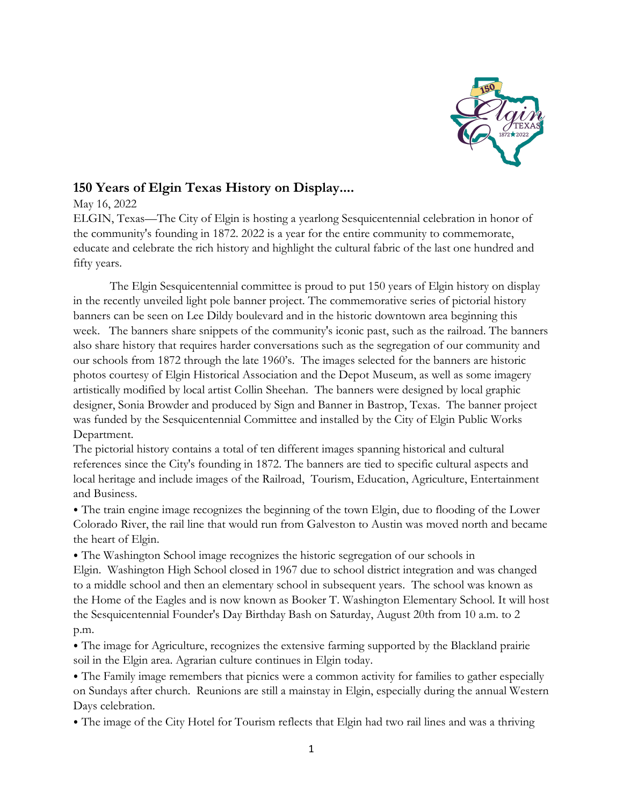

## **150 Years of Elgin Texas History on Display....**

May 16, 2022

ELGIN, Texas—The City of Elgin is hosting a yearlong Sesquicentennial celebration in honor of the community's founding in 1872. 2022 is a year for the entire community to commemorate, educate and celebrate the rich history and highlight the cultural fabric of the last one hundred and fifty years.

The Elgin Sesquicentennial committee is proud to put 150 years of Elgin history on display in the recently unveiled light pole banner project. The commemorative series of pictorial history banners can be seen on Lee Dildy boulevard and in the historic downtown area beginning this week. The banners share snippets of the community's iconic past, such as the railroad. The banners also share history that requires harder conversations such as the segregation of our community and our schools from 1872 through the late 1960's. The images selected for the banners are historic photos courtesy of Elgin Historical Association and the Depot Museum, as well as some imagery artistically modified by local artist Collin Sheehan. The banners were designed by local graphic designer, Sonia Browder and produced by Sign and Banner in Bastrop, Texas. The banner project was funded by the Sesquicentennial Committee and installed by the City of Elgin Public Works Department.

The pictorial history contains a total of ten different images spanning historical and cultural references since the City's founding in 1872. The banners are tied to specific cultural aspects and local heritage and include images of the Railroad, Tourism, Education, Agriculture, Entertainment and Business.

⦁ The train engine image recognizes the beginning of the town Elgin, due to flooding of the Lower Colorado River, the rail line that would run from Galveston to Austin was moved north and became the heart of Elgin.

⦁ The Washington School image recognizes the historic segregation of our schools in Elgin. Washington High School closed in 1967 due to school district integration and was changed to a middle school and then an elementary school in subsequent years. The school was known as the Home of the Eagles and is now known as Booker T. Washington Elementary School. It will host the Sesquicentennial Founder's Day Birthday Bash on Saturday, August 20th from 10 a.m. to 2 p.m.

⦁ The image for Agriculture, recognizes the extensive farming supported by the Blackland prairie soil in the Elgin area. Agrarian culture continues in Elgin today.

⦁ The Family image remembers that picnics were a common activity for families to gather especially on Sundays after church. Reunions are still a mainstay in Elgin, especially during the annual Western Days celebration.

⦁ The image of the City Hotel for Tourism reflects that Elgin had two rail lines and was a thriving